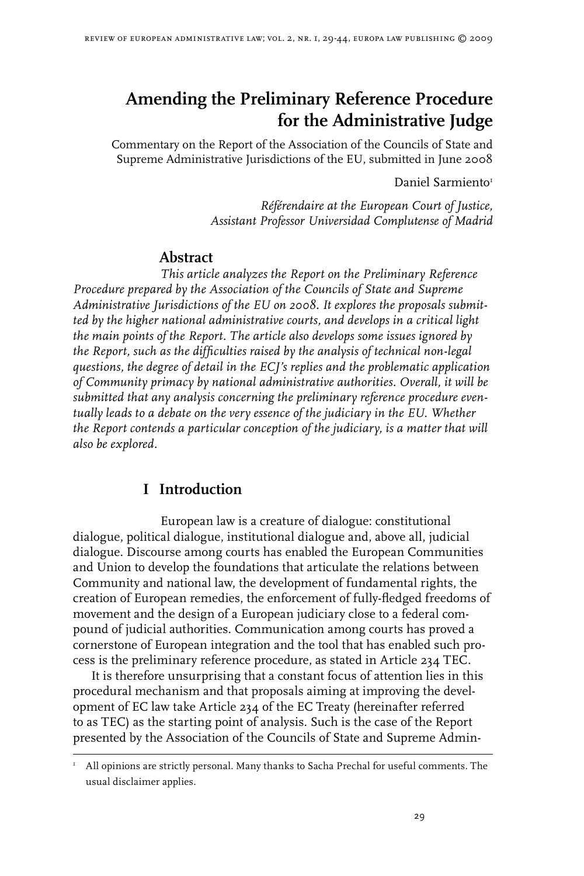# **Amending the Preliminary Reference Procedure for the Administrative Judge**

Commentary on the Report of the Association of the Councils of State and Supreme Administrative Jurisdictions of the EU, submitted in June 2008

Daniel Sarmiento

*Référendaire at the European Court of Justice, Assistant Professor Universidad Complutense of Madrid*

#### **Abstract**

*This article analyzes the Report on the Preliminary Reference Procedure prepared by the Association of the Councils of State and Supreme Administrative Jurisdictions of the EU on 2008. It explores the proposals submitted by the higher national administrative courts, and develops in a critical light the main points of the Report. The article also develops some issues ignored by the Report, such as the difficulties raised by the analysis of technical non-legal questions, the degree of detail in the ECJ's replies and the problematic application of Community primacy by national administrative authorities. Overall, it will be submitted that any analysis concerning the preliminary reference procedure eventually leads to a debate on the very essence of the judiciary in the EU. Whether the Report contends a particular conception of the judiciary, is a matter that will also be explored.* 

## **I Introduction**

European law is a creature of dialogue: constitutional dialogue, political dialogue, institutional dialogue and, above all, judicial dialogue. Discourse among courts has enabled the European Communities and Union to develop the foundations that articulate the relations between Community and national law, the development of fundamental rights, the creation of European remedies, the enforcement of fully-fledged freedoms of movement and the design of a European judiciary close to a federal compound of judicial authorities. Communication among courts has proved a cornerstone of European integration and the tool that has enabled such process is the preliminary reference procedure, as stated in Article 234 TEC.

It is therefore unsurprising that a constant focus of attention lies in this procedural mechanism and that proposals aiming at improving the development of EC law take Article 234 of the EC Treaty (hereinafter referred to as TEC) as the starting point of analysis. Such is the case of the Report presented by the Association of the Councils of State and Supreme Admin-

I All opinions are strictly personal. Many thanks to Sacha Prechal for useful comments. The usual disclaimer applies.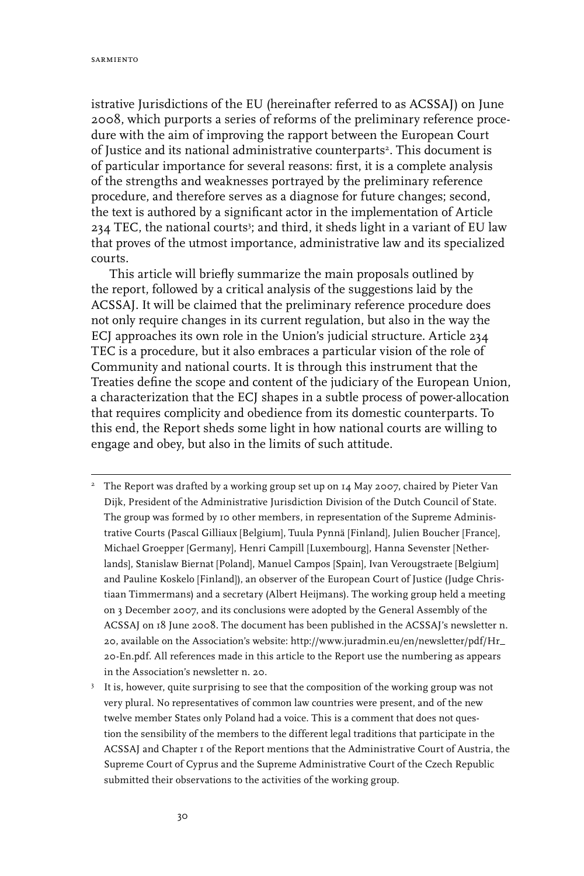istrative Jurisdictions of the EU (hereinafter referred to as ACSSAJ) on June 2008, which purports a series of reforms of the preliminary reference procedure with the aim of improving the rapport between the European Court of Justice and its national administrative counterparts<sup>2</sup>. This document is of particular importance for several reasons: first, it is a complete analysis of the strengths and weaknesses portrayed by the preliminary reference procedure, and therefore serves as a diagnose for future changes; second, the text is authored by a significant actor in the implementation of Article 234 TEC, the national courts<sup>3</sup>; and third, it sheds light in a variant of EU law that proves of the utmost importance, administrative law and its specialized courts.

This article will briefly summarize the main proposals outlined by the report, followed by a critical analysis of the suggestions laid by the ACSSAJ. It will be claimed that the preliminary reference procedure does not only require changes in its current regulation, but also in the way the ECJ approaches its own role in the Union's judicial structure. Article 234 TEC is a procedure, but it also embraces a particular vision of the role of Community and national courts. It is through this instrument that the Treaties define the scope and content of the judiciary of the European Union, a characterization that the ECJ shapes in a subtle process of power-allocation that requires complicity and obedience from its domestic counterparts. To this end, the Report sheds some light in how national courts are willing to engage and obey, but also in the limits of such attitude.

- $2$  The Report was drafted by a working group set up on 14 May 2007, chaired by Pieter Van Dijk, President of the Administrative Jurisdiction Division of the Dutch Council of State. The group was formed by 10 other members, in representation of the Supreme Administrative Courts (Pascal Gilliaux [Belgium], Tuula Pynnä [Finland], Julien Boucher [France], Michael Groepper [Germany], Henri Campill [Luxembourg], Hanna Sevenster [Netherlands], Stanislaw Biernat [Poland], Manuel Campos [Spain], Ivan Verougstraete [Belgium] and Pauline Koskelo [Finland]), an observer of the European Court of Justice (Judge Christiaan Timmermans) and a secretary (Albert Heijmans). The working group held a meeting on 3 December 2007, and its conclusions were adopted by the General Assembly of the ACSSAJ on 18 June 2008. The document has been published in the ACSSAJ's newsletter n. 20, available on the Association's website: http://www.juradmin.eu/en/newsletter/pdf/Hr\_ 20-En.pdf. All references made in this article to the Report use the numbering as appears in the Association's newsletter n. 20.
- It is, however, quite surprising to see that the composition of the working group was not very plural. No representatives of common law countries were present, and of the new twelve member States only Poland had a voice. This is a comment that does not question the sensibility of the members to the different legal traditions that participate in the ACSSAJ and Chapter 1 of the Report mentions that the Administrative Court of Austria, the Supreme Court of Cyprus and the Supreme Administrative Court of the Czech Republic submitted their observations to the activities of the working group.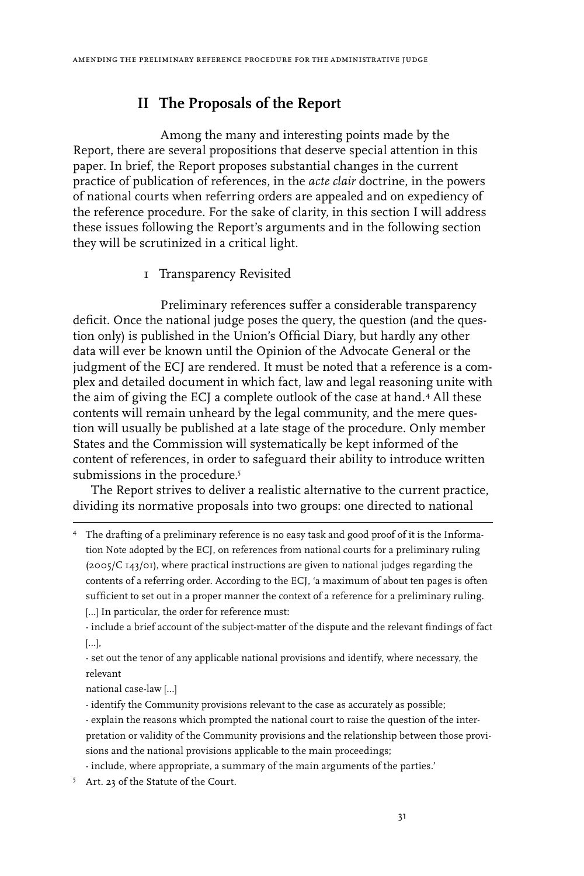# **II The Proposals of the Report**

Among the many and interesting points made by the Report, there are several propositions that deserve special attention in this paper. In brief, the Report proposes substantial changes in the current practice of publication of references, in the *acte clair* doctrine, in the powers of national courts when referring orders are appealed and on expediency of the reference procedure. For the sake of clarity, in this section I will address these issues following the Report's arguments and in the following section they will be scrutinized in a critical light.

1 Transparency Revisited

Preliminary references suffer a considerable transparency deficit. Once the national judge poses the query, the question (and the question only) is published in the Union's Official Diary, but hardly any other data will ever be known until the Opinion of the Advocate General or the judgment of the ECJ are rendered. It must be noted that a reference is a complex and detailed document in which fact, law and legal reasoning unite with the aim of giving the ECJ a complete outlook of the case at hand.<sup>4</sup> All these contents will remain unheard by the legal community, and the mere question will usually be published at a late stage of the procedure. Only member States and the Commission will systematically be kept informed of the content of references, in order to safeguard their ability to introduce written submissions in the procedure.<sup>5</sup>

The Report strives to deliver a realistic alternative to the current practice, dividing its normative proposals into two groups: one directed to national

 The drafting of a preliminary reference is no easy task and good proof of it is the Information Note adopted by the ECJ, on references from national courts for a preliminary ruling (2005/C 143/01), where practical instructions are given to national judges regarding the contents of a referring order. According to the ECJ, 'a maximum of about ten pages is often sufficient to set out in a proper manner the context of a reference for a preliminary ruling. [...] In particular, the order for reference must:

- include a brief account of the subject-matter of the dispute and the relevant findings of fact […],

- set out the tenor of any applicable national provisions and identify, where necessary, the relevant

national case-law […]

- identify the Community provisions relevant to the case as accurately as possible;

- explain the reasons which prompted the national court to raise the question of the interpretation or validity of the Community provisions and the relationship between those provisions and the national provisions applicable to the main proceedings;

- include, where appropriate, a summary of the main arguments of the parties.'

<sup>5</sup> Art. 23 of the Statute of the Court.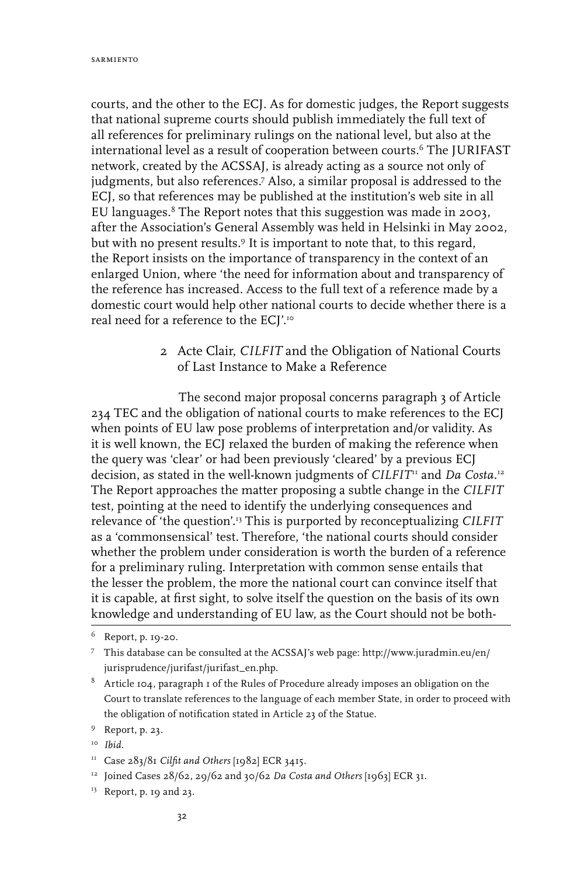courts, and the other to the ECJ. As for domestic judges, the Report suggests that national supreme courts should publish immediately the full text of all references for preliminary rulings on the national level, but also at the international level as a result of cooperation between courts.<sup>6</sup> The JURIFAST network, created by the ACSSAJ, is already acting as a source not only of judgments, but also references.<sup>7</sup> Also, a similar proposal is addressed to the ECJ, so that references may be published at the institution's web site in all EU languages.<sup>8</sup> The Report notes that this suggestion was made in 2003, after the Association's General Assembly was held in Helsinki in May 2002, but with no present results.<sup>9</sup> It is important to note that, to this regard, the Report insists on the importance of transparency in the context of an enlarged Union, where 'the need for information about and transparency of the reference has increased. Access to the full text of a reference made by a domestic court would help other national courts to decide whether there is a real need for a reference to the ECJ'.10

> 2 Acte Clair, *CILFIT* and the Obligation of National Courts of Last Instance to Make a Reference

The second major proposal concerns paragraph 3 of Article 234 TEC and the obligation of national courts to make references to the ECJ when points of EU law pose problems of interpretation and/or validity. As it is well known, the ECJ relaxed the burden of making the reference when the query was 'clear' or had been previously 'cleared' by a previous ECJ decision, as stated in the well-known judgments of *CILFIT*11 and *Da Costa.*<sup>12</sup> The Report approaches the matter proposing a subtle change in the *CILFIT* test, pointing at the need to identify the underlying consequences and relevance of 'the question'.13 This is purported by reconceptualizing *CILFIT* as a 'commonsensical' test. Therefore, 'the national courts should consider whether the problem under consideration is worth the burden of a reference for a preliminary ruling. Interpretation with common sense entails that the lesser the problem, the more the national court can convince itself that it is capable, at first sight, to solve itself the question on the basis of its own knowledge and understanding of EU law, as the Court should not be both-

13 Report, p. 19 and 23.

Report, p. 19-20.

This database can be consulted at the ACSSAJ's web page: http://www.juradmin.eu/en/ jurisprudence/jurifast/jurifast\_en.php.

 $^8$  Article 104, paragraph 1 of the Rules of Procedure already imposes an obligation on the Court to translate references to the language of each member State, in order to proceed with the obligation of notification stated in Article 23 of the Statue.

Report, p. 23.

<sup>10</sup> *Ibid.*

<sup>11</sup> Case 283/81 *Cilfit and Others* [1982] ECR 3415.

<sup>12</sup> Joined Cases 28/62, 29/62 and 30/62 *Da Costa and Others* [1963] ECR 31.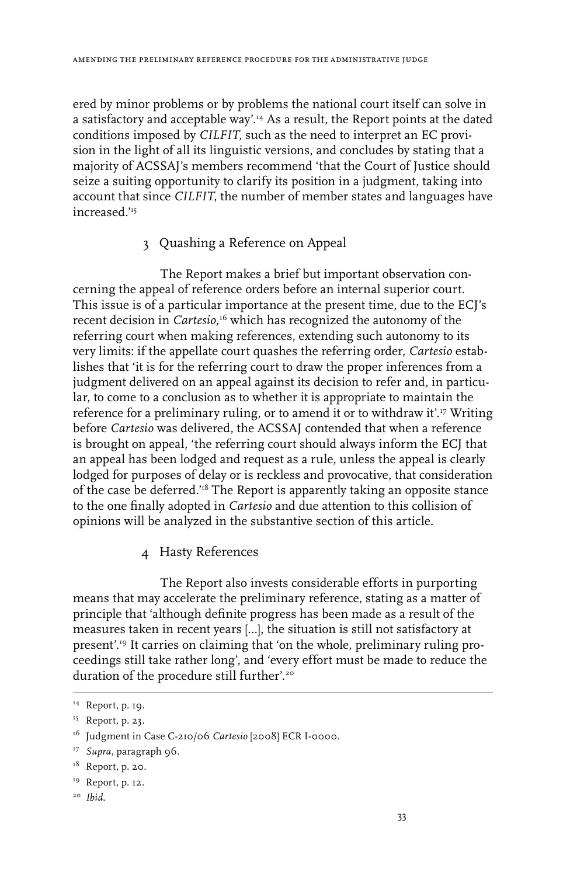ered by minor problems or by problems the national court itself can solve in a satisfactory and acceptable way'.14 As a result, the Report points at the dated conditions imposed by *CILFIT*, such as the need to interpret an EC provision in the light of all its linguistic versions, and concludes by stating that a majority of ACSSAJ's members recommend 'that the Court of Justice should seize a suiting opportunity to clarify its position in a judgment, taking into account that since *CILFIT*, the number of member states and languages have increased<sup>'15</sup>

#### 3 Quashing a Reference on Appeal

The Report makes a brief but important observation concerning the appeal of reference orders before an internal superior court. This issue is of a particular importance at the present time, due to the ECJ's recent decision in *Cartesio,*16 which has recognized the autonomy of the referring court when making references, extending such autonomy to its very limits: if the appellate court quashes the referring order, *Cartesio* establishes that 'it is for the referring court to draw the proper inferences from a judgment delivered on an appeal against its decision to refer and, in particular, to come to a conclusion as to whether it is appropriate to maintain the reference for a preliminary ruling, or to amend it or to withdraw it'.17 Writing before *Cartesio* was delivered, the ACSSAJ contended that when a reference is brought on appeal, 'the referring court should always inform the ECJ that an appeal has been lodged and request as a rule, unless the appeal is clearly lodged for purposes of delay or is reckless and provocative, that consideration of the case be deferred.'18 The Report is apparently taking an opposite stance to the one finally adopted in *Cartesio* and due attention to this collision of opinions will be analyzed in the substantive section of this article.

4 Hasty References

The Report also invests considerable efforts in purporting means that may accelerate the preliminary reference, stating as a matter of principle that 'although definite progress has been made as a result of the measures taken in recent years […], the situation is still not satisfactory at present'.19 It carries on claiming that 'on the whole, preliminary ruling proceedings still take rather long', and 'every effort must be made to reduce the duration of the procedure still further'.<sup>20</sup>

<sup>14</sup> Report, p. 19.

<sup>15</sup> Report, p. 23.

<sup>&</sup>lt;sup>16</sup> Judgment in Case C-210/06 *Cartesio* [2008] ECR I-0000.

<sup>&</sup>lt;sup>17</sup> Supra, paragraph 96.

 $18$  Report, p. 20.

<sup>19</sup> Report, p. 12.

<sup>20</sup> *Ibid*.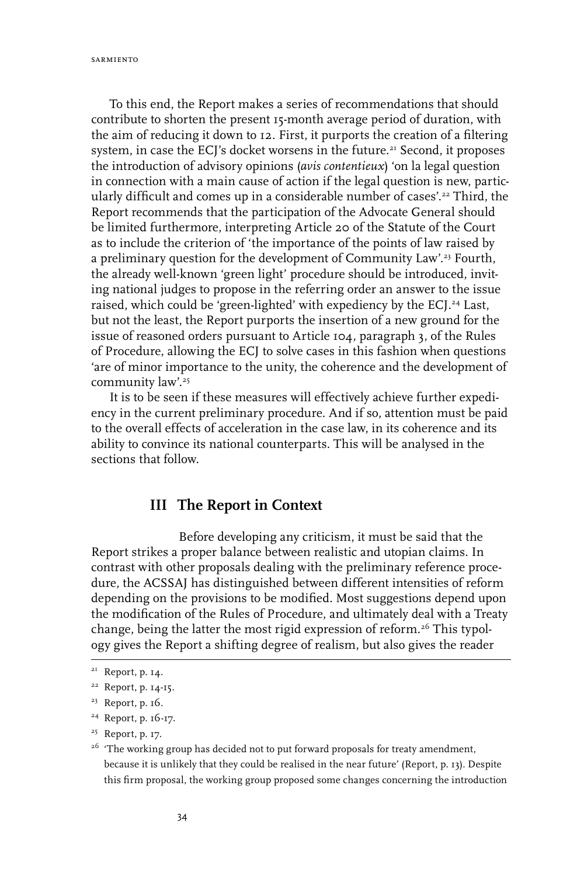sarmiento

To this end, the Report makes a series of recommendations that should contribute to shorten the present 15-month average period of duration, with the aim of reducing it down to 12. First, it purports the creation of a filtering system, in case the ECJ's docket worsens in the future.<sup>21</sup> Second, it proposes the introduction of advisory opinions (*avis contentieux*) 'on la legal question in connection with a main cause of action if the legal question is new, particularly difficult and comes up in a considerable number of cases'.<sup>22</sup> Third, the Report recommends that the participation of the Advocate General should be limited furthermore, interpreting Article 20 of the Statute of the Court as to include the criterion of 'the importance of the points of law raised by a preliminary question for the development of Community Law'.<sup>23</sup> Fourth, the already well-known 'green light' procedure should be introduced, inviting national judges to propose in the referring order an answer to the issue raised, which could be 'green-lighted' with expediency by the ECJ.<sup>24</sup> Last, but not the least, the Report purports the insertion of a new ground for the issue of reasoned orders pursuant to Article 104, paragraph 3, of the Rules of Procedure, allowing the ECJ to solve cases in this fashion when questions 'are of minor importance to the unity, the coherence and the development of community law'.<sup>25</sup>

It is to be seen if these measures will effectively achieve further expediency in the current preliminary procedure. And if so, attention must be paid to the overall effects of acceleration in the case law, in its coherence and its ability to convince its national counterparts. This will be analysed in the sections that follow.

## **III The Report in Context**

Before developing any criticism, it must be said that the Report strikes a proper balance between realistic and utopian claims. In contrast with other proposals dealing with the preliminary reference procedure, the ACSSAJ has distinguished between different intensities of reform depending on the provisions to be modified. Most suggestions depend upon the modification of the Rules of Procedure, and ultimately deal with a Treaty change, being the latter the most rigid expression of reform.<sup>26</sup> This typology gives the Report a shifting degree of realism, but also gives the reader

<sup>&</sup>lt;sup>21</sup> Report, p. 14.

<sup>22</sup> Report, p. 14-15.

<sup>23</sup> Report, p. 16.

<sup>24</sup> Report, p. 16-17.

<sup>25</sup> Report, p. 17.

<sup>&</sup>lt;sup>26</sup> 'The working group has decided not to put forward proposals for treaty amendment, because it is unlikely that they could be realised in the near future' (Report, p. 13). Despite this firm proposal, the working group proposed some changes concerning the introduction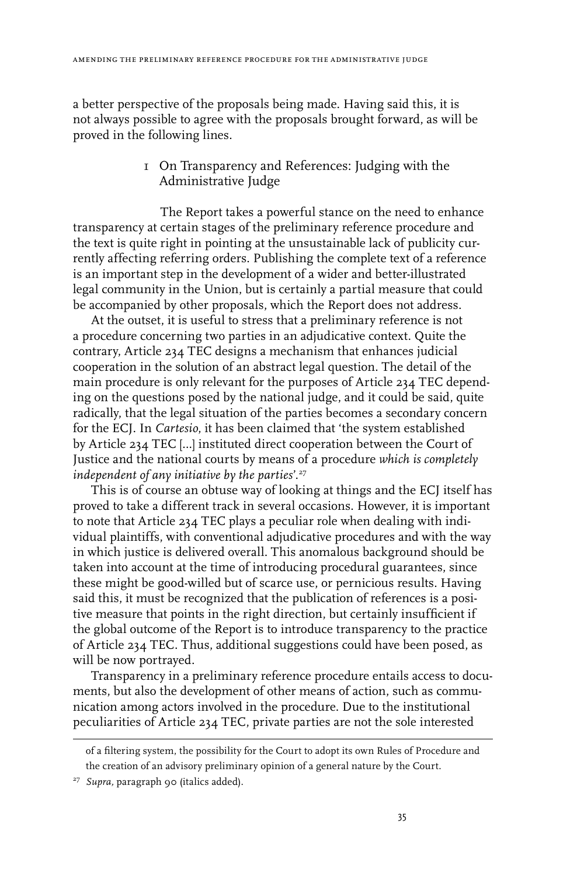a better perspective of the proposals being made. Having said this, it is not always possible to agree with the proposals brought forward, as will be proved in the following lines.

> 1 On Transparency and References: Judging with the Administrative Judge

The Report takes a powerful stance on the need to enhance transparency at certain stages of the preliminary reference procedure and the text is quite right in pointing at the unsustainable lack of publicity currently affecting referring orders. Publishing the complete text of a reference is an important step in the development of a wider and better-illustrated legal community in the Union, but is certainly a partial measure that could be accompanied by other proposals, which the Report does not address.

At the outset, it is useful to stress that a preliminary reference is not a procedure concerning two parties in an adjudicative context. Quite the contrary, Article 234 TEC designs a mechanism that enhances judicial cooperation in the solution of an abstract legal question. The detail of the main procedure is only relevant for the purposes of Article 234 TEC depending on the questions posed by the national judge, and it could be said, quite radically, that the legal situation of the parties becomes a secondary concern for the ECJ. In *Cartesio*, it has been claimed that 'the system established by Article 234 TEC […] instituted direct cooperation between the Court of Justice and the national courts by means of a procedure *which is completely independent of any initiative by the parties*'.27

This is of course an obtuse way of looking at things and the ECJ itself has proved to take a different track in several occasions. However, it is important to note that Article 234 TEC plays a peculiar role when dealing with individual plaintiffs, with conventional adjudicative procedures and with the way in which justice is delivered overall. This anomalous background should be taken into account at the time of introducing procedural guarantees, since these might be good-willed but of scarce use, or pernicious results. Having said this, it must be recognized that the publication of references is a positive measure that points in the right direction, but certainly insufficient if the global outcome of the Report is to introduce transparency to the practice of Article 234 TEC. Thus, additional suggestions could have been posed, as will be now portrayed.

Transparency in a preliminary reference procedure entails access to documents, but also the development of other means of action, such as communication among actors involved in the procedure. Due to the institutional peculiarities of Article 234 TEC, private parties are not the sole interested

of a filtering system, the possibility for the Court to adopt its own Rules of Procedure and the creation of an advisory preliminary opinion of a general nature by the Court.

<sup>27</sup> *Supra,* paragraph 90 (italics added).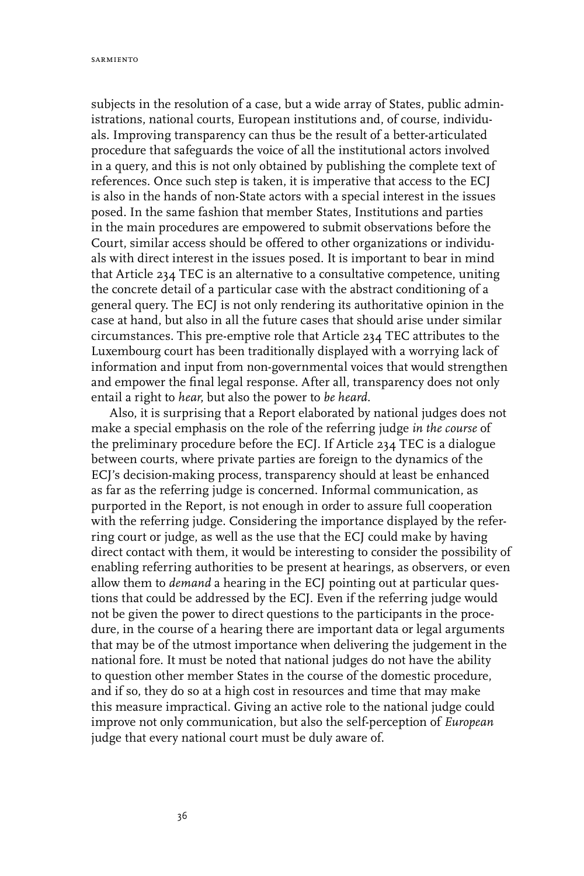subjects in the resolution of a case, but a wide array of States, public administrations, national courts, European institutions and, of course, individuals. Improving transparency can thus be the result of a better-articulated procedure that safeguards the voice of all the institutional actors involved in a query, and this is not only obtained by publishing the complete text of references. Once such step is taken, it is imperative that access to the ECJ is also in the hands of non-State actors with a special interest in the issues posed. In the same fashion that member States, Institutions and parties in the main procedures are empowered to submit observations before the Court, similar access should be offered to other organizations or individuals with direct interest in the issues posed. It is important to bear in mind that Article 234 TEC is an alternative to a consultative competence, uniting the concrete detail of a particular case with the abstract conditioning of a general query. The ECJ is not only rendering its authoritative opinion in the case at hand, but also in all the future cases that should arise under similar circumstances. This pre-emptive role that Article 234 TEC attributes to the Luxembourg court has been traditionally displayed with a worrying lack of information and input from non-governmental voices that would strengthen and empower the final legal response. After all, transparency does not only entail a right to *hear*, but also the power to *be heard*.

Also, it is surprising that a Report elaborated by national judges does not make a special emphasis on the role of the referring judge *in the course* of the preliminary procedure before the ECJ. If Article 234 TEC is a dialogue between courts, where private parties are foreign to the dynamics of the ECJ's decision-making process, transparency should at least be enhanced as far as the referring judge is concerned. Informal communication, as purported in the Report, is not enough in order to assure full cooperation with the referring judge. Considering the importance displayed by the referring court or judge, as well as the use that the ECJ could make by having direct contact with them, it would be interesting to consider the possibility of enabling referring authorities to be present at hearings, as observers, or even allow them to *demand* a hearing in the ECJ pointing out at particular questions that could be addressed by the ECJ. Even if the referring judge would not be given the power to direct questions to the participants in the procedure, in the course of a hearing there are important data or legal arguments that may be of the utmost importance when delivering the judgement in the national fore. It must be noted that national judges do not have the ability to question other member States in the course of the domestic procedure, and if so, they do so at a high cost in resources and time that may make this measure impractical. Giving an active role to the national judge could improve not only communication, but also the self-perception of *European* judge that every national court must be duly aware of.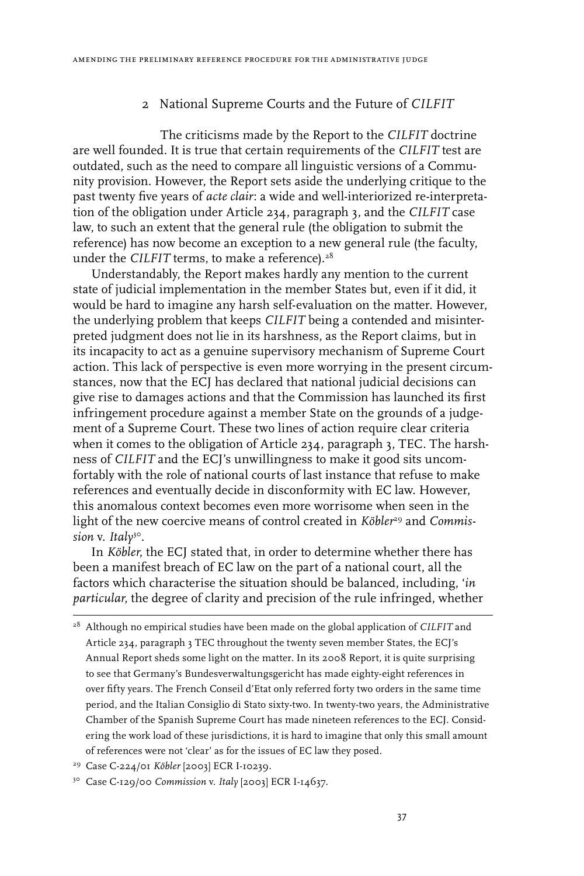#### 2 National Supreme Courts and the Future of *CILFIT*

The criticisms made by the Report to the *CILFIT* doctrine are well founded. It is true that certain requirements of the *CILFIT* test are outdated, such as the need to compare all linguistic versions of a Community provision. However, the Report sets aside the underlying critique to the past twenty five years of *acte clair*: a wide and well-interiorized re-interpretation of the obligation under Article 234, paragraph 3, and the *CILFIT* case law, to such an extent that the general rule (the obligation to submit the reference) has now become an exception to a new general rule (the faculty, under the *CILFIT* terms, to make a reference).<sup>28</sup>

Understandably, the Report makes hardly any mention to the current state of judicial implementation in the member States but, even if it did, it would be hard to imagine any harsh self-evaluation on the matter. However, the underlying problem that keeps *CILFIT* being a contended and misinterpreted judgment does not lie in its harshness, as the Report claims, but in its incapacity to act as a genuine supervisory mechanism of Supreme Court action. This lack of perspective is even more worrying in the present circumstances, now that the ECJ has declared that national judicial decisions can give rise to damages actions and that the Commission has launched its first infringement procedure against a member State on the grounds of a judgement of a Supreme Court. These two lines of action require clear criteria when it comes to the obligation of Article 234, paragraph 3, TEC. The harshness of *CILFIT* and the ECJ's unwillingness to make it good sits uncomfortably with the role of national courts of last instance that refuse to make references and eventually decide in disconformity with EC law. However, this anomalous context becomes even more worrisome when seen in the light of the new coercive means of control created in *Köbler<sup>29</sup>* and *Commission* v. *Italy*30.

In *Köbler*, the ECJ stated that, in order to determine whether there has been a manifest breach of EC law on the part of a national court, all the factors which characterise the situation should be balanced, including, '*in particular*, the degree of clarity and precision of the rule infringed, whether

29 Case C-224/01 *Köbler* [2003] ECR I-10239.

30 Case C-129/00 *Commission* v. *Italy* [2003] ECR I-14637.

<sup>28</sup> Although no empirical studies have been made on the global application of *CILFIT* and Article 234, paragraph 3 TEC throughout the twenty seven member States, the ECJ's Annual Report sheds some light on the matter. In its 2008 Report, it is quite surprising to see that Germany's Bundesverwaltungsgericht has made eighty-eight references in over fifty years. The French Conseil d'Etat only referred forty two orders in the same time period, and the Italian Consiglio di Stato sixty-two. In twenty-two years, the Administrative Chamber of the Spanish Supreme Court has made nineteen references to the ECJ. Considering the work load of these jurisdictions, it is hard to imagine that only this small amount of references were not 'clear' as for the issues of EC law they posed.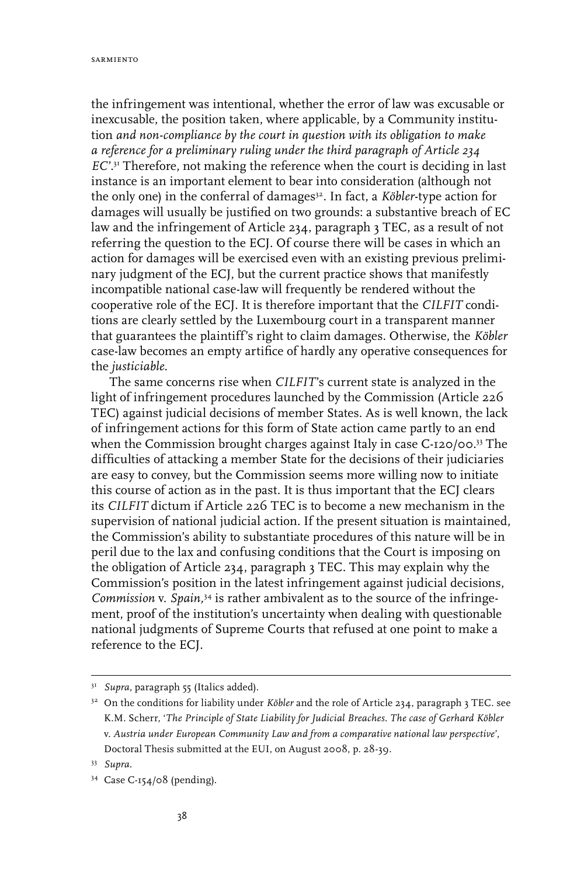the infringement was intentional, whether the error of law was excusable or inexcusable, the position taken, where applicable, by a Community institution *and non-compliance by the court in question with its obligation to make a reference for a preliminary ruling under the third paragraph of Article 234 EC*'.<sup>31</sup> Therefore, not making the reference when the court is deciding in last instance is an important element to bear into consideration (although not the only one) in the conferral of damages<sup>32</sup>. In fact, a *Köbler*-type action for damages will usually be justified on two grounds: a substantive breach of EC law and the infringement of Article 234, paragraph 3 TEC, as a result of not referring the question to the ECJ. Of course there will be cases in which an action for damages will be exercised even with an existing previous preliminary judgment of the ECJ, but the current practice shows that manifestly incompatible national case-law will frequently be rendered without the cooperative role of the ECJ. It is therefore important that the *CILFIT* conditions are clearly settled by the Luxembourg court in a transparent manner that guarantees the plaintiff's right to claim damages. Otherwise, the *Köbler* case-law becomes an empty artifice of hardly any operative consequences for the *justiciable*.

The same concerns rise when *CILFIT*'s current state is analyzed in the light of infringement procedures launched by the Commission (Article 226 TEC) against judicial decisions of member States. As is well known, the lack of infringement actions for this form of State action came partly to an end when the Commission brought charges against Italy in case C-120/00.<sup>33</sup> The difficulties of attacking a member State for the decisions of their judiciaries are easy to convey, but the Commission seems more willing now to initiate this course of action as in the past. It is thus important that the ECJ clears its *CILFIT* dictum if Article 226 TEC is to become a new mechanism in the supervision of national judicial action. If the present situation is maintained, the Commission's ability to substantiate procedures of this nature will be in peril due to the lax and confusing conditions that the Court is imposing on the obligation of Article 234, paragraph 3 TEC. This may explain why the Commission's position in the latest infringement against judicial decisions, *Commission* v. *Spain,*34 is rather ambivalent as to the source of the infringement, proof of the institution's uncertainty when dealing with questionable national judgments of Supreme Courts that refused at one point to make a reference to the ECJ.

<sup>&</sup>lt;sup>31</sup> Supra, paragraph 55 (Italics added).

<sup>&</sup>lt;sup>32</sup> On the conditions for liability under *Köbler* and the role of Article 234, paragraph 3 TEC. see K.M. Scherr, '*The Principle of State Liability for Judicial Breaches. The case of Gerhard Köbler*  v. *Austria under European Community Law and from a comparative national law perspective*', Doctoral Thesis submitted at the EUI, on August 2008, p. 28-39.

<sup>33</sup> *Supra*.

<sup>34</sup> Case C-154/08 (pending).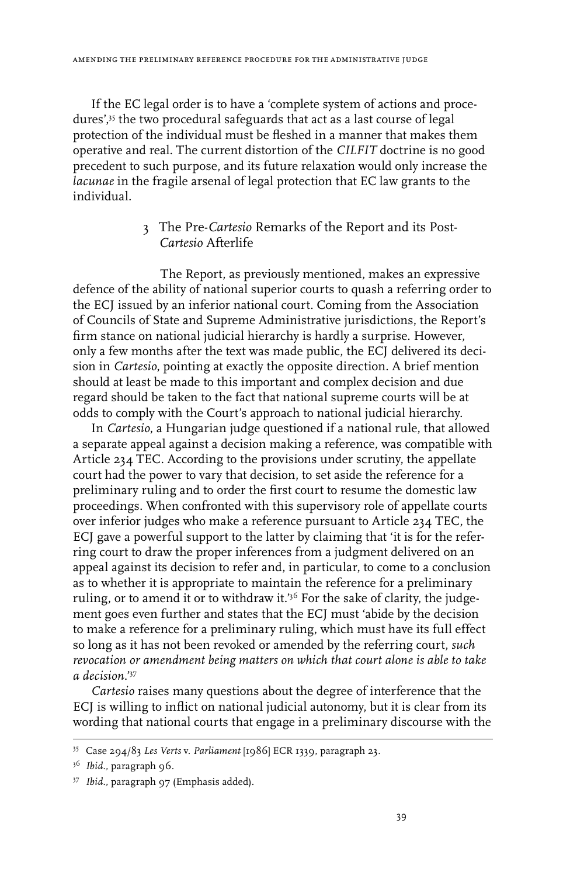amending the preliminary reference procedure for the administrative judge

If the EC legal order is to have a 'complete system of actions and procedures',35 the two procedural safeguards that act as a last course of legal protection of the individual must be fleshed in a manner that makes them operative and real. The current distortion of the *CILFIT* doctrine is no good precedent to such purpose, and its future relaxation would only increase the *lacunae* in the fragile arsenal of legal protection that EC law grants to the individual.

#### 3 The Pre-*Cartesio* Remarks of the Report and its Post-*Cartesio* Afterlife

The Report, as previously mentioned, makes an expressive defence of the ability of national superior courts to quash a referring order to the ECJ issued by an inferior national court. Coming from the Association of Councils of State and Supreme Administrative jurisdictions, the Report's firm stance on national judicial hierarchy is hardly a surprise. However, only a few months after the text was made public, the ECJ delivered its decision in *Cartesio*, pointing at exactly the opposite direction. A brief mention should at least be made to this important and complex decision and due regard should be taken to the fact that national supreme courts will be at odds to comply with the Court's approach to national judicial hierarchy.

In *Cartesio*, a Hungarian judge questioned if a national rule, that allowed a separate appeal against a decision making a reference, was compatible with Article 234 TEC. According to the provisions under scrutiny, the appellate court had the power to vary that decision, to set aside the reference for a preliminary ruling and to order the first court to resume the domestic law proceedings. When confronted with this supervisory role of appellate courts over inferior judges who make a reference pursuant to Article 234 TEC, the ECJ gave a powerful support to the latter by claiming that 'it is for the referring court to draw the proper inferences from a judgment delivered on an appeal against its decision to refer and, in particular, to come to a conclusion as to whether it is appropriate to maintain the reference for a preliminary ruling, or to amend it or to withdraw it.'<sup>36</sup> For the sake of clarity, the judgement goes even further and states that the ECJ must 'abide by the decision to make a reference for a preliminary ruling, which must have its full effect so long as it has not been revoked or amended by the referring court, *such revocation or amendment being matters on which that court alone is able to take a decision*.'37

*Cartesio* raises many questions about the degree of interference that the ECJ is willing to inflict on national judicial autonomy, but it is clear from its wording that national courts that engage in a preliminary discourse with the

<sup>35</sup> Case 294/83 *Les Verts* v. *Parliament* [1986] ECR 1339, paragraph 23.

<sup>&</sup>lt;sup>36</sup> *Ibid.*, paragraph 96.

<sup>37</sup> *Ibid.,* paragraph 97 (Emphasis added).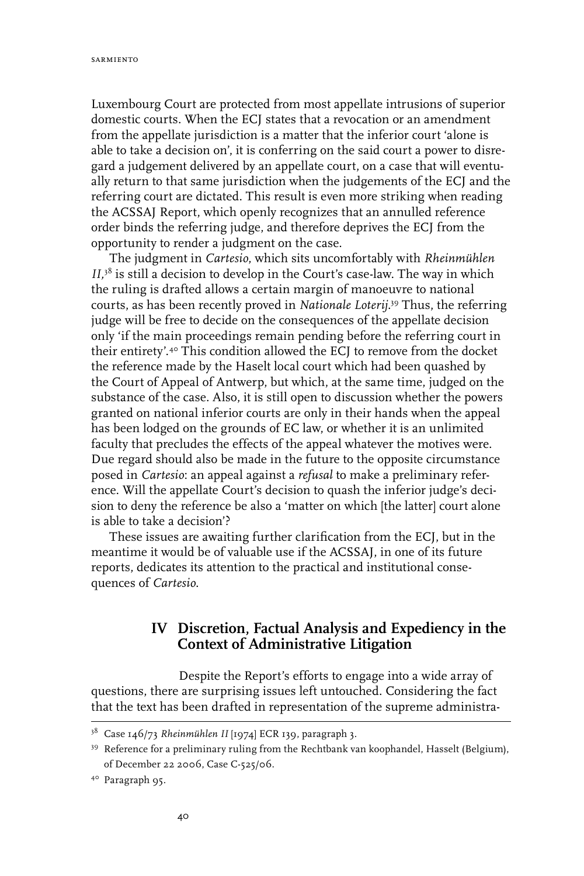Luxembourg Court are protected from most appellate intrusions of superior domestic courts. When the ECJ states that a revocation or an amendment from the appellate jurisdiction is a matter that the inferior court 'alone is able to take a decision on', it is conferring on the said court a power to disregard a judgement delivered by an appellate court, on a case that will eventually return to that same jurisdiction when the judgements of the ECJ and the referring court are dictated. This result is even more striking when reading the ACSSAJ Report, which openly recognizes that an annulled reference order binds the referring judge, and therefore deprives the ECJ from the opportunity to render a judgment on the case.

The judgment in *Cartesio*, which sits uncomfortably with *Rheinmühlen II,*38 is still a decision to develop in the Court's case-law. The way in which the ruling is drafted allows a certain margin of manoeuvre to national courts, as has been recently proved in *Nationale Loterij*. 39 Thus, the referring judge will be free to decide on the consequences of the appellate decision only 'if the main proceedings remain pending before the referring court in their entirety'.<sup>40</sup> This condition allowed the ECJ to remove from the docket the reference made by the Haselt local court which had been quashed by the Court of Appeal of Antwerp, but which, at the same time, judged on the substance of the case. Also, it is still open to discussion whether the powers granted on national inferior courts are only in their hands when the appeal has been lodged on the grounds of EC law, or whether it is an unlimited faculty that precludes the effects of the appeal whatever the motives were. Due regard should also be made in the future to the opposite circumstance posed in *Cartesio*: an appeal against a *refusal* to make a preliminary reference. Will the appellate Court's decision to quash the inferior judge's decision to deny the reference be also a 'matter on which [the latter] court alone is able to take a decision'?

These issues are awaiting further clarification from the ECJ, but in the meantime it would be of valuable use if the ACSSAJ, in one of its future reports, dedicates its attention to the practical and institutional consequences of *Cartesio*.

## **IV Discretion, Factual Analysis and Expediency in the Context of Administrative Litigation**

Despite the Report's efforts to engage into a wide array of questions, there are surprising issues left untouched. Considering the fact that the text has been drafted in representation of the supreme administra-

<sup>&</sup>lt;sup>38</sup> Case 146/73 *Rheinmühlen II* [1974] ECR 139, paragraph 3.

<sup>39</sup> Reference for a preliminary ruling from the Rechtbank van koophandel, Hasselt (Belgium), of December 22 2006, Case C-525/06.

<sup>40</sup> Paragraph 95.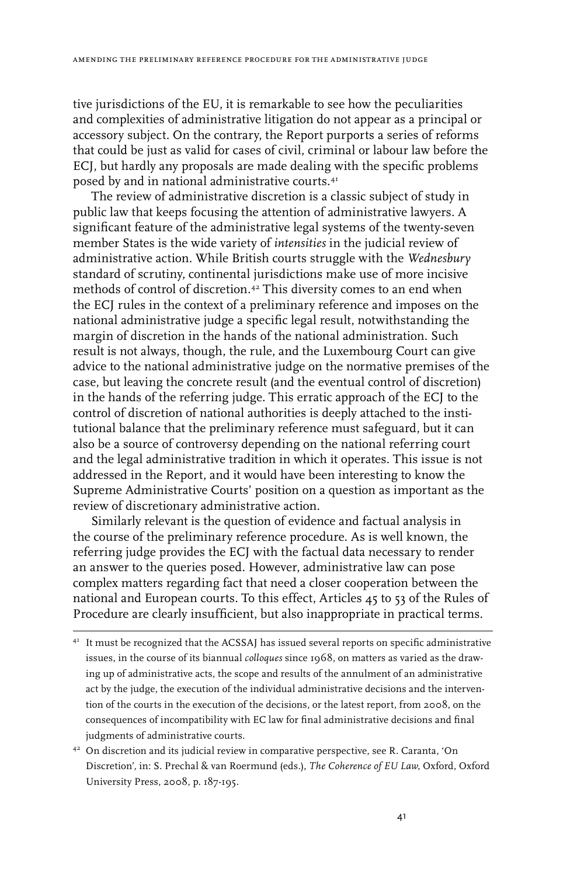tive jurisdictions of the EU, it is remarkable to see how the peculiarities and complexities of administrative litigation do not appear as a principal or accessory subject. On the contrary, the Report purports a series of reforms that could be just as valid for cases of civil, criminal or labour law before the ECJ, but hardly any proposals are made dealing with the specific problems posed by and in national administrative courts.41

The review of administrative discretion is a classic subject of study in public law that keeps focusing the attention of administrative lawyers. A significant feature of the administrative legal systems of the twenty-seven member States is the wide variety of *intensities* in the judicial review of administrative action. While British courts struggle with the *Wednesbury* standard of scrutiny, continental jurisdictions make use of more incisive methods of control of discretion.<sup>42</sup> This diversity comes to an end when the ECJ rules in the context of a preliminary reference and imposes on the national administrative judge a specific legal result, notwithstanding the margin of discretion in the hands of the national administration. Such result is not always, though, the rule, and the Luxembourg Court can give advice to the national administrative judge on the normative premises of the case, but leaving the concrete result (and the eventual control of discretion) in the hands of the referring judge. This erratic approach of the ECJ to the control of discretion of national authorities is deeply attached to the institutional balance that the preliminary reference must safeguard, but it can also be a source of controversy depending on the national referring court and the legal administrative tradition in which it operates. This issue is not addressed in the Report, and it would have been interesting to know the Supreme Administrative Courts' position on a question as important as the review of discretionary administrative action.

Similarly relevant is the question of evidence and factual analysis in the course of the preliminary reference procedure. As is well known, the referring judge provides the ECJ with the factual data necessary to render an answer to the queries posed. However, administrative law can pose complex matters regarding fact that need a closer cooperation between the national and European courts. To this effect, Articles 45 to 53 of the Rules of Procedure are clearly insufficient, but also inappropriate in practical terms.

42 On discretion and its judicial review in comparative perspective, see R. Caranta, 'On Discretion', in: S. Prechal & van Roermund (eds.), *The Coherence of EU Law*, Oxford, Oxford University Press, 2008, p. 187-195.

<sup>&</sup>lt;sup>41</sup> It must be recognized that the ACSSAJ has issued several reports on specific administrative issues, in the course of its biannual *colloques* since 1968, on matters as varied as the drawing up of administrative acts, the scope and results of the annulment of an administrative act by the judge, the execution of the individual administrative decisions and the intervention of the courts in the execution of the decisions, or the latest report, from 2008, on the consequences of incompatibility with EC law for final administrative decisions and final judgments of administrative courts.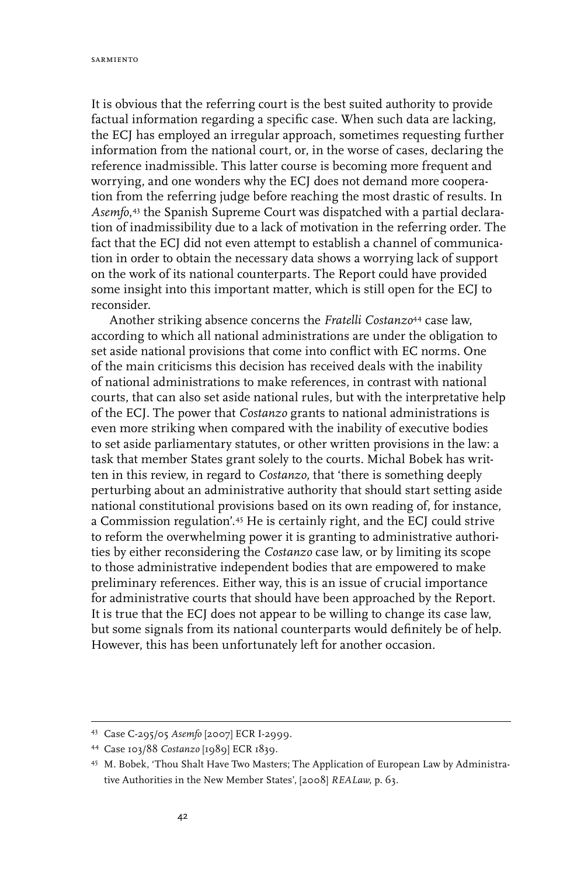It is obvious that the referring court is the best suited authority to provide factual information regarding a specific case. When such data are lacking, the ECJ has employed an irregular approach, sometimes requesting further information from the national court, or, in the worse of cases, declaring the reference inadmissible. This latter course is becoming more frequent and worrying, and one wonders why the ECJ does not demand more cooperation from the referring judge before reaching the most drastic of results. In *Asemfo*, 43 the Spanish Supreme Court was dispatched with a partial declaration of inadmissibility due to a lack of motivation in the referring order. The fact that the ECJ did not even attempt to establish a channel of communication in order to obtain the necessary data shows a worrying lack of support on the work of its national counterparts. The Report could have provided some insight into this important matter, which is still open for the ECJ to reconsider.

Another striking absence concerns the *Fratelli Costanzo*44 case law, according to which all national administrations are under the obligation to set aside national provisions that come into conflict with EC norms. One of the main criticisms this decision has received deals with the inability of national administrations to make references, in contrast with national courts, that can also set aside national rules, but with the interpretative help of the ECJ. The power that *Costanzo* grants to national administrations is even more striking when compared with the inability of executive bodies to set aside parliamentary statutes, or other written provisions in the law: a task that member States grant solely to the courts. Michal Bobek has written in this review, in regard to *Costanzo*, that 'there is something deeply perturbing about an administrative authority that should start setting aside national constitutional provisions based on its own reading of, for instance, a Commission regulation'.45 He is certainly right, and the ECJ could strive to reform the overwhelming power it is granting to administrative authorities by either reconsidering the *Costanzo* case law, or by limiting its scope to those administrative independent bodies that are empowered to make preliminary references. Either way, this is an issue of crucial importance for administrative courts that should have been approached by the Report. It is true that the ECJ does not appear to be willing to change its case law, but some signals from its national counterparts would definitely be of help. However, this has been unfortunately left for another occasion.

<sup>43</sup> Case C-295/05 *Asemfo* [2007] ECR I-2999.

<sup>44</sup> Case 103/88 *Costanzo* [1989] ECR 1839.

<sup>45</sup> M. Bobek, 'Thou Shalt Have Two Masters; The Application of European Law by Administrative Authorities in the New Member States', [2008] *REALaw*, p. 63.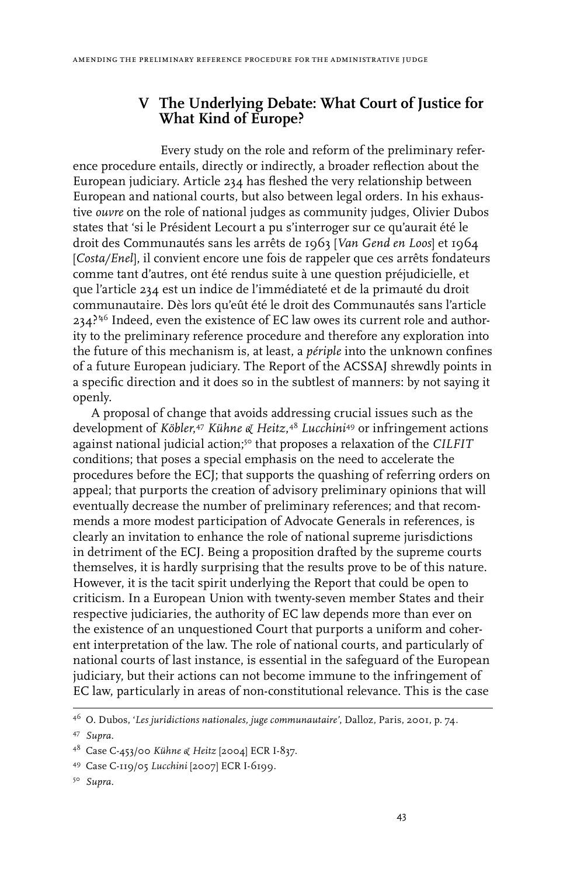## **V The Underlying Debate: What Court of Justice for What Kind of Europe?**

Every study on the role and reform of the preliminary reference procedure entails, directly or indirectly, a broader reflection about the European judiciary. Article 234 has fleshed the very relationship between European and national courts, but also between legal orders. In his exhaustive *ouvre* on the role of national judges as community judges, Olivier Dubos states that 'si le Président Lecourt a pu s'interroger sur ce qu'aurait été le droit des Communautés sans les arrêts de 1963 [*Van Gend en Loos*] et 1964 [*Costa/Enel*], il convient encore une fois de rappeler que ces arrêts fondateurs comme tant d'autres, ont été rendus suite à une question préjudicielle, et que l'article 234 est un indice de l'immédiateté et de la primauté du droit communautaire. Dès lors qu'eût été le droit des Communautés sans l'article  $234$ ?<sup>46</sup> Indeed, even the existence of EC law owes its current role and authority to the preliminary reference procedure and therefore any exploration into the future of this mechanism is, at least, a *périple* into the unknown confines of a future European judiciary. The Report of the ACSSAJ shrewdly points in a specific direction and it does so in the subtlest of manners: by not saying it openly.

A proposal of change that avoids addressing crucial issues such as the development of *Köbler*, <sup>47</sup> *Kühne & Heitz*, <sup>48</sup> *Lucchini*49 or infringement actions against national judicial action;50 that proposes a relaxation of the *CILFIT* conditions; that poses a special emphasis on the need to accelerate the procedures before the ECJ; that supports the quashing of referring orders on appeal; that purports the creation of advisory preliminary opinions that will eventually decrease the number of preliminary references; and that recommends a more modest participation of Advocate Generals in references, is clearly an invitation to enhance the role of national supreme jurisdictions in detriment of the ECJ. Being a proposition drafted by the supreme courts themselves, it is hardly surprising that the results prove to be of this nature. However, it is the tacit spirit underlying the Report that could be open to criticism. In a European Union with twenty-seven member States and their respective judiciaries, the authority of EC law depends more than ever on the existence of an unquestioned Court that purports a uniform and coherent interpretation of the law. The role of national courts, and particularly of national courts of last instance, is essential in the safeguard of the European judiciary, but their actions can not become immune to the infringement of EC law, particularly in areas of non-constitutional relevance. This is the case

<sup>46</sup> O. Dubos, '*Les juridictions nationales, juge communautaire'*, Dalloz, Paris, 2001, p. 74.

<sup>47</sup> *Supra*.

<sup>48</sup> Case C-453/00 *Kühne & Heitz* [2004] ECR I-837.

<sup>49</sup> Case C-119/05 *Lucchini* [2007] ECR I-6199.

<sup>50</sup> *Supra*.